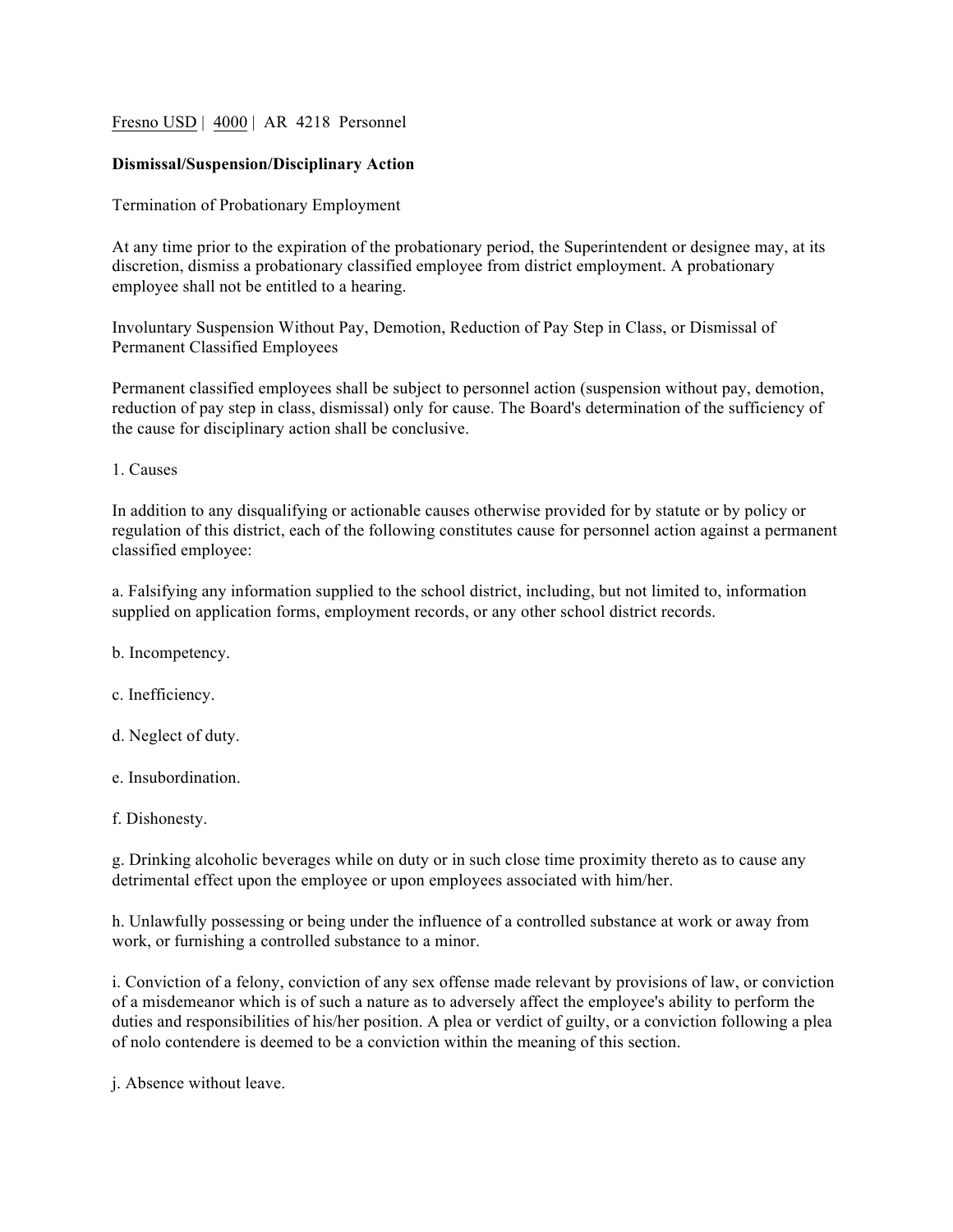# Fresno USD | 4000 | AR 4218 Personnel

# **Dismissal/Suspension/Disciplinary Action**

Termination of Probationary Employment

At any time prior to the expiration of the probationary period, the Superintendent or designee may, at its discretion, dismiss a probationary classified employee from district employment. A probationary employee shall not be entitled to a hearing.

Involuntary Suspension Without Pay, Demotion, Reduction of Pay Step in Class, or Dismissal of Permanent Classified Employees

Permanent classified employees shall be subject to personnel action (suspension without pay, demotion, reduction of pay step in class, dismissal) only for cause. The Board's determination of the sufficiency of the cause for disciplinary action shall be conclusive.

1. Causes

In addition to any disqualifying or actionable causes otherwise provided for by statute or by policy or regulation of this district, each of the following constitutes cause for personnel action against a permanent classified employee:

a. Falsifying any information supplied to the school district, including, but not limited to, information supplied on application forms, employment records, or any other school district records.

b. Incompetency.

c. Inefficiency.

d. Neglect of duty.

e. Insubordination.

f. Dishonesty.

g. Drinking alcoholic beverages while on duty or in such close time proximity thereto as to cause any detrimental effect upon the employee or upon employees associated with him/her.

h. Unlawfully possessing or being under the influence of a controlled substance at work or away from work, or furnishing a controlled substance to a minor.

i. Conviction of a felony, conviction of any sex offense made relevant by provisions of law, or conviction of a misdemeanor which is of such a nature as to adversely affect the employee's ability to perform the duties and responsibilities of his/her position. A plea or verdict of guilty, or a conviction following a plea of nolo contendere is deemed to be a conviction within the meaning of this section.

j. Absence without leave.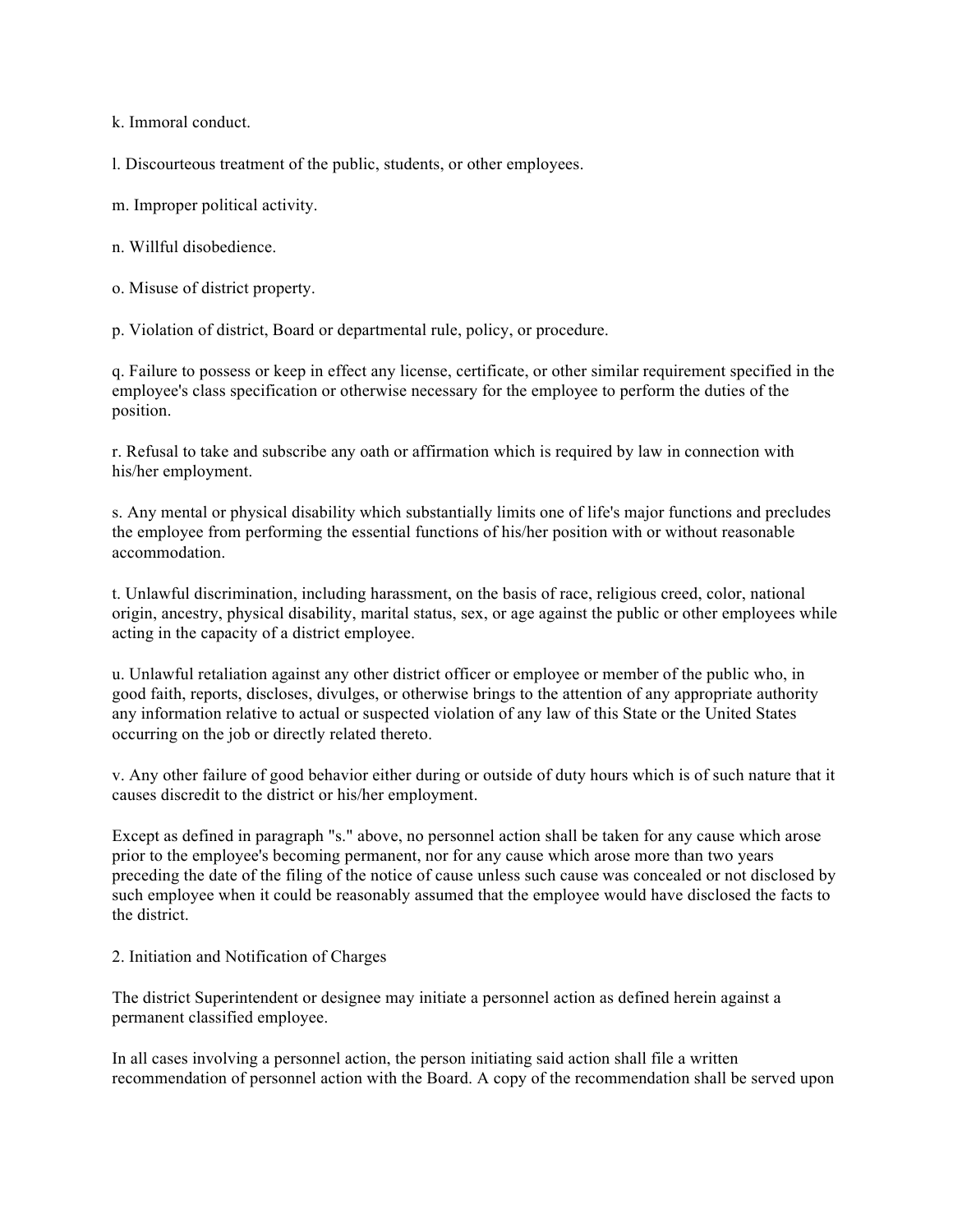k. Immoral conduct.

l. Discourteous treatment of the public, students, or other employees.

m. Improper political activity.

n. Willful disobedience.

o. Misuse of district property.

p. Violation of district, Board or departmental rule, policy, or procedure.

q. Failure to possess or keep in effect any license, certificate, or other similar requirement specified in the employee's class specification or otherwise necessary for the employee to perform the duties of the position.

r. Refusal to take and subscribe any oath or affirmation which is required by law in connection with his/her employment.

s. Any mental or physical disability which substantially limits one of life's major functions and precludes the employee from performing the essential functions of his/her position with or without reasonable accommodation.

t. Unlawful discrimination, including harassment, on the basis of race, religious creed, color, national origin, ancestry, physical disability, marital status, sex, or age against the public or other employees while acting in the capacity of a district employee.

u. Unlawful retaliation against any other district officer or employee or member of the public who, in good faith, reports, discloses, divulges, or otherwise brings to the attention of any appropriate authority any information relative to actual or suspected violation of any law of this State or the United States occurring on the job or directly related thereto.

v. Any other failure of good behavior either during or outside of duty hours which is of such nature that it causes discredit to the district or his/her employment.

Except as defined in paragraph "s." above, no personnel action shall be taken for any cause which arose prior to the employee's becoming permanent, nor for any cause which arose more than two years preceding the date of the filing of the notice of cause unless such cause was concealed or not disclosed by such employee when it could be reasonably assumed that the employee would have disclosed the facts to the district.

2. Initiation and Notification of Charges

The district Superintendent or designee may initiate a personnel action as defined herein against a permanent classified employee.

In all cases involving a personnel action, the person initiating said action shall file a written recommendation of personnel action with the Board. A copy of the recommendation shall be served upon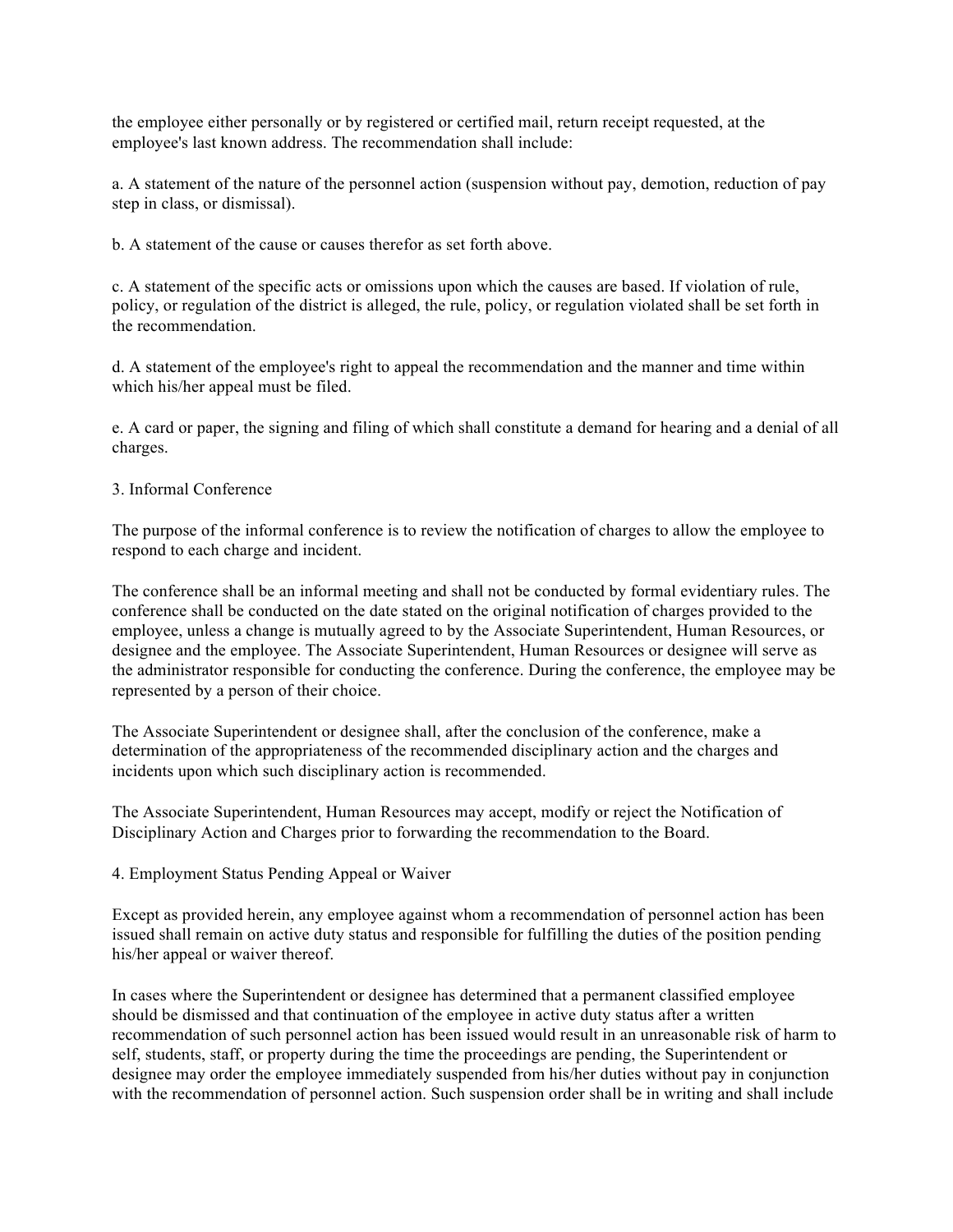the employee either personally or by registered or certified mail, return receipt requested, at the employee's last known address. The recommendation shall include:

a. A statement of the nature of the personnel action (suspension without pay, demotion, reduction of pay step in class, or dismissal).

b. A statement of the cause or causes therefor as set forth above.

c. A statement of the specific acts or omissions upon which the causes are based. If violation of rule, policy, or regulation of the district is alleged, the rule, policy, or regulation violated shall be set forth in the recommendation.

d. A statement of the employee's right to appeal the recommendation and the manner and time within which his/her appeal must be filed.

e. A card or paper, the signing and filing of which shall constitute a demand for hearing and a denial of all charges.

### 3. Informal Conference

The purpose of the informal conference is to review the notification of charges to allow the employee to respond to each charge and incident.

The conference shall be an informal meeting and shall not be conducted by formal evidentiary rules. The conference shall be conducted on the date stated on the original notification of charges provided to the employee, unless a change is mutually agreed to by the Associate Superintendent, Human Resources, or designee and the employee. The Associate Superintendent, Human Resources or designee will serve as the administrator responsible for conducting the conference. During the conference, the employee may be represented by a person of their choice.

The Associate Superintendent or designee shall, after the conclusion of the conference, make a determination of the appropriateness of the recommended disciplinary action and the charges and incidents upon which such disciplinary action is recommended.

The Associate Superintendent, Human Resources may accept, modify or reject the Notification of Disciplinary Action and Charges prior to forwarding the recommendation to the Board.

### 4. Employment Status Pending Appeal or Waiver

Except as provided herein, any employee against whom a recommendation of personnel action has been issued shall remain on active duty status and responsible for fulfilling the duties of the position pending his/her appeal or waiver thereof.

In cases where the Superintendent or designee has determined that a permanent classified employee should be dismissed and that continuation of the employee in active duty status after a written recommendation of such personnel action has been issued would result in an unreasonable risk of harm to self, students, staff, or property during the time the proceedings are pending, the Superintendent or designee may order the employee immediately suspended from his/her duties without pay in conjunction with the recommendation of personnel action. Such suspension order shall be in writing and shall include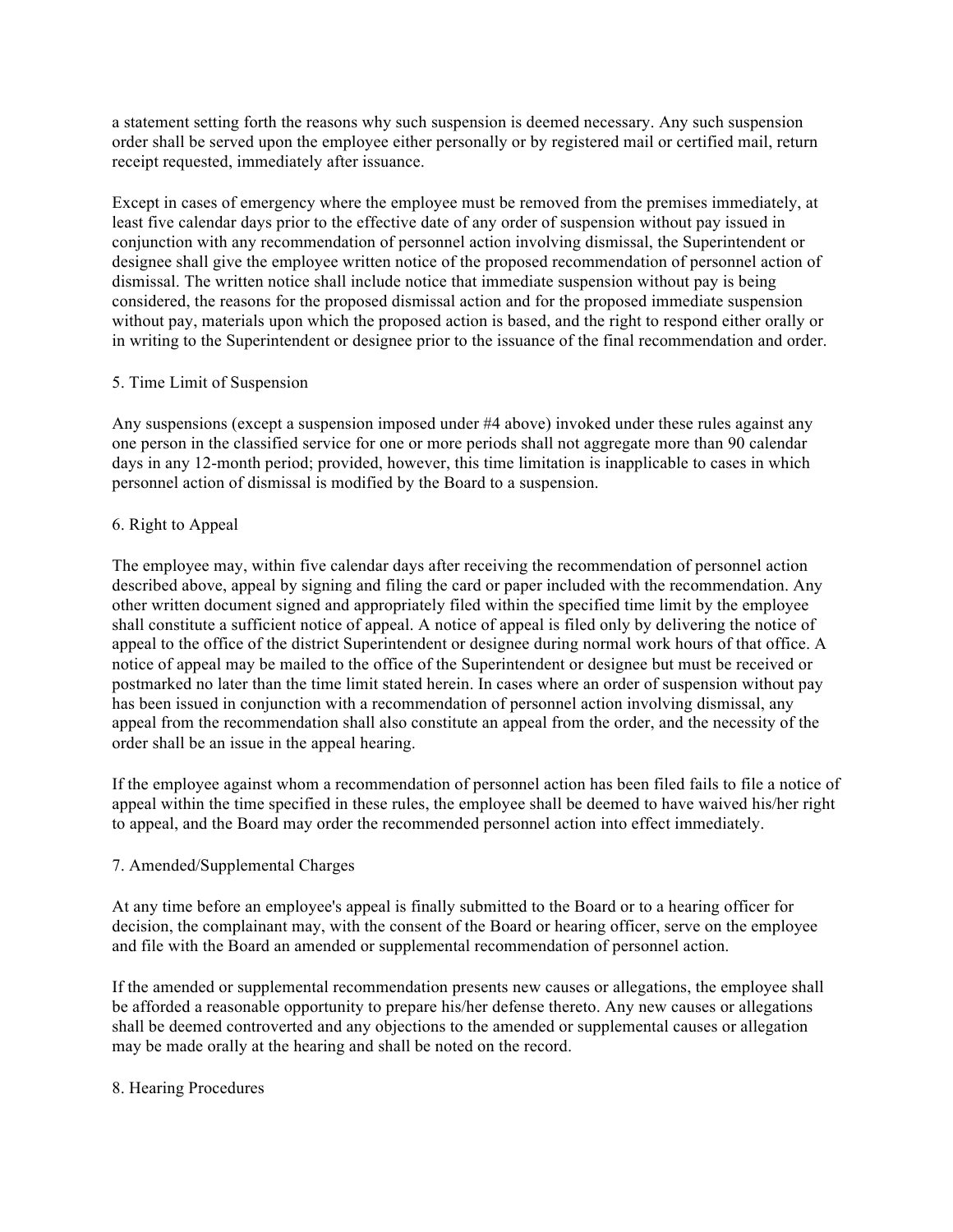a statement setting forth the reasons why such suspension is deemed necessary. Any such suspension order shall be served upon the employee either personally or by registered mail or certified mail, return receipt requested, immediately after issuance.

Except in cases of emergency where the employee must be removed from the premises immediately, at least five calendar days prior to the effective date of any order of suspension without pay issued in conjunction with any recommendation of personnel action involving dismissal, the Superintendent or designee shall give the employee written notice of the proposed recommendation of personnel action of dismissal. The written notice shall include notice that immediate suspension without pay is being considered, the reasons for the proposed dismissal action and for the proposed immediate suspension without pay, materials upon which the proposed action is based, and the right to respond either orally or in writing to the Superintendent or designee prior to the issuance of the final recommendation and order.

### 5. Time Limit of Suspension

Any suspensions (except a suspension imposed under #4 above) invoked under these rules against any one person in the classified service for one or more periods shall not aggregate more than 90 calendar days in any 12-month period; provided, however, this time limitation is inapplicable to cases in which personnel action of dismissal is modified by the Board to a suspension.

# 6. Right to Appeal

The employee may, within five calendar days after receiving the recommendation of personnel action described above, appeal by signing and filing the card or paper included with the recommendation. Any other written document signed and appropriately filed within the specified time limit by the employee shall constitute a sufficient notice of appeal. A notice of appeal is filed only by delivering the notice of appeal to the office of the district Superintendent or designee during normal work hours of that office. A notice of appeal may be mailed to the office of the Superintendent or designee but must be received or postmarked no later than the time limit stated herein. In cases where an order of suspension without pay has been issued in conjunction with a recommendation of personnel action involving dismissal, any appeal from the recommendation shall also constitute an appeal from the order, and the necessity of the order shall be an issue in the appeal hearing.

If the employee against whom a recommendation of personnel action has been filed fails to file a notice of appeal within the time specified in these rules, the employee shall be deemed to have waived his/her right to appeal, and the Board may order the recommended personnel action into effect immediately.

# 7. Amended/Supplemental Charges

At any time before an employee's appeal is finally submitted to the Board or to a hearing officer for decision, the complainant may, with the consent of the Board or hearing officer, serve on the employee and file with the Board an amended or supplemental recommendation of personnel action.

If the amended or supplemental recommendation presents new causes or allegations, the employee shall be afforded a reasonable opportunity to prepare his/her defense thereto. Any new causes or allegations shall be deemed controverted and any objections to the amended or supplemental causes or allegation may be made orally at the hearing and shall be noted on the record.

### 8. Hearing Procedures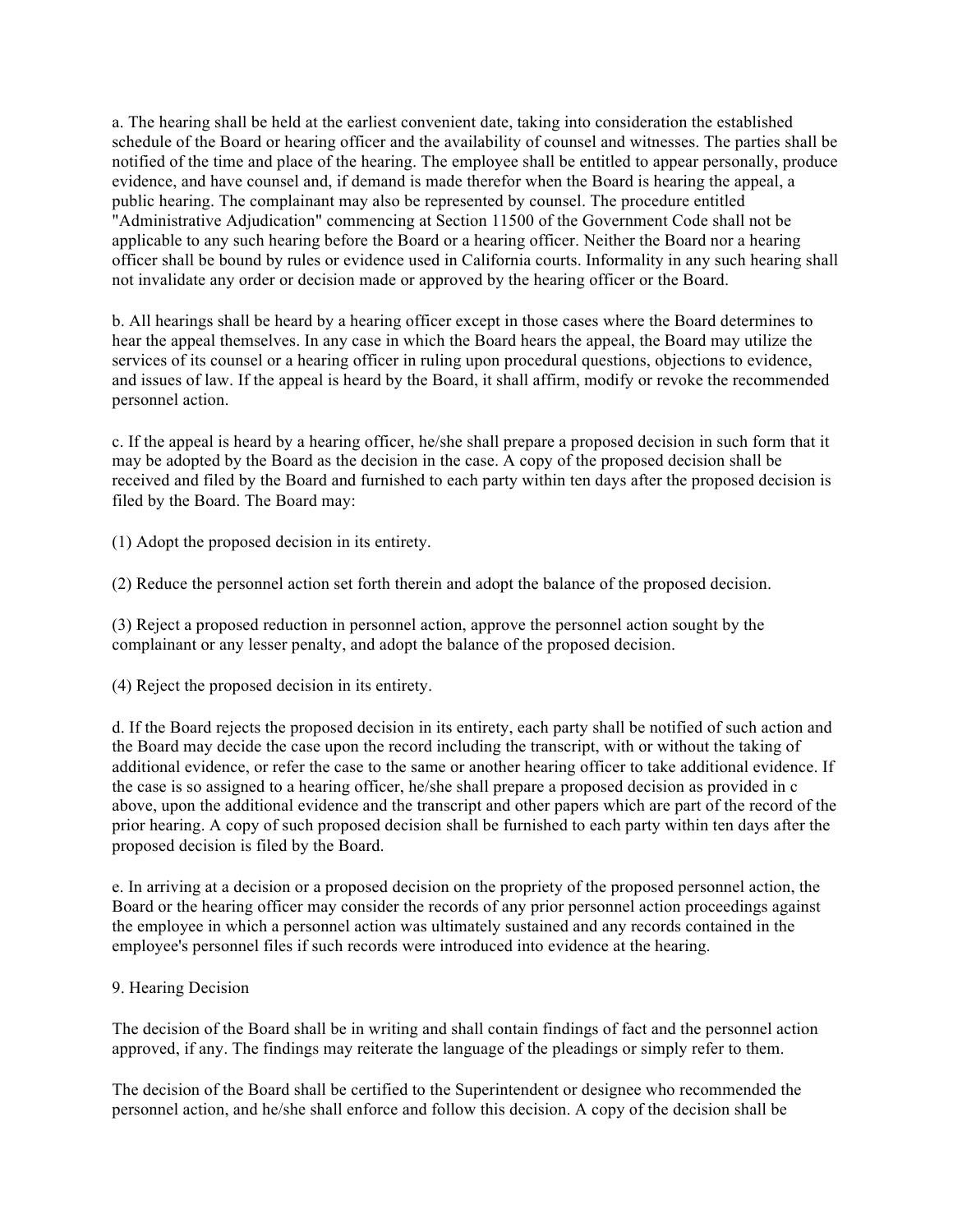a. The hearing shall be held at the earliest convenient date, taking into consideration the established schedule of the Board or hearing officer and the availability of counsel and witnesses. The parties shall be notified of the time and place of the hearing. The employee shall be entitled to appear personally, produce evidence, and have counsel and, if demand is made therefor when the Board is hearing the appeal, a public hearing. The complainant may also be represented by counsel. The procedure entitled "Administrative Adjudication" commencing at Section 11500 of the Government Code shall not be applicable to any such hearing before the Board or a hearing officer. Neither the Board nor a hearing officer shall be bound by rules or evidence used in California courts. Informality in any such hearing shall not invalidate any order or decision made or approved by the hearing officer or the Board.

b. All hearings shall be heard by a hearing officer except in those cases where the Board determines to hear the appeal themselves. In any case in which the Board hears the appeal, the Board may utilize the services of its counsel or a hearing officer in ruling upon procedural questions, objections to evidence, and issues of law. If the appeal is heard by the Board, it shall affirm, modify or revoke the recommended personnel action.

c. If the appeal is heard by a hearing officer, he/she shall prepare a proposed decision in such form that it may be adopted by the Board as the decision in the case. A copy of the proposed decision shall be received and filed by the Board and furnished to each party within ten days after the proposed decision is filed by the Board. The Board may:

(1) Adopt the proposed decision in its entirety.

(2) Reduce the personnel action set forth therein and adopt the balance of the proposed decision.

(3) Reject a proposed reduction in personnel action, approve the personnel action sought by the complainant or any lesser penalty, and adopt the balance of the proposed decision.

(4) Reject the proposed decision in its entirety.

d. If the Board rejects the proposed decision in its entirety, each party shall be notified of such action and the Board may decide the case upon the record including the transcript, with or without the taking of additional evidence, or refer the case to the same or another hearing officer to take additional evidence. If the case is so assigned to a hearing officer, he/she shall prepare a proposed decision as provided in c above, upon the additional evidence and the transcript and other papers which are part of the record of the prior hearing. A copy of such proposed decision shall be furnished to each party within ten days after the proposed decision is filed by the Board.

e. In arriving at a decision or a proposed decision on the propriety of the proposed personnel action, the Board or the hearing officer may consider the records of any prior personnel action proceedings against the employee in which a personnel action was ultimately sustained and any records contained in the employee's personnel files if such records were introduced into evidence at the hearing.

### 9. Hearing Decision

The decision of the Board shall be in writing and shall contain findings of fact and the personnel action approved, if any. The findings may reiterate the language of the pleadings or simply refer to them.

The decision of the Board shall be certified to the Superintendent or designee who recommended the personnel action, and he/she shall enforce and follow this decision. A copy of the decision shall be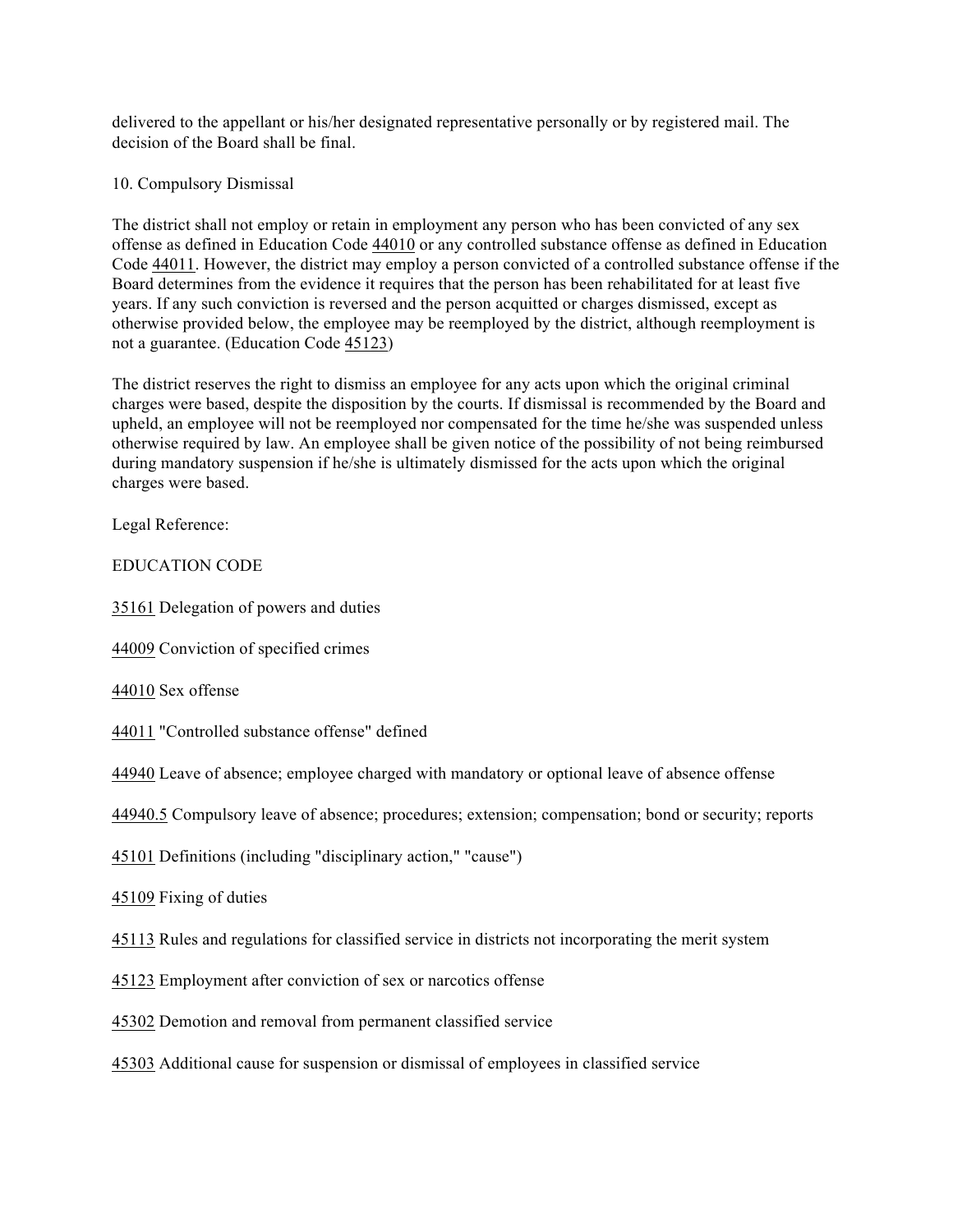delivered to the appellant or his/her designated representative personally or by registered mail. The decision of the Board shall be final.

# 10. Compulsory Dismissal

The district shall not employ or retain in employment any person who has been convicted of any sex offense as defined in Education Code 44010 or any controlled substance offense as defined in Education Code 44011. However, the district may employ a person convicted of a controlled substance offense if the Board determines from the evidence it requires that the person has been rehabilitated for at least five years. If any such conviction is reversed and the person acquitted or charges dismissed, except as otherwise provided below, the employee may be reemployed by the district, although reemployment is not a guarantee. (Education Code 45123)

The district reserves the right to dismiss an employee for any acts upon which the original criminal charges were based, despite the disposition by the courts. If dismissal is recommended by the Board and upheld, an employee will not be reemployed nor compensated for the time he/she was suspended unless otherwise required by law. An employee shall be given notice of the possibility of not being reimbursed during mandatory suspension if he/she is ultimately dismissed for the acts upon which the original charges were based.

Legal Reference:

EDUCATION CODE

35161 Delegation of powers and duties

44009 Conviction of specified crimes

44010 Sex offense

44011 "Controlled substance offense" defined

44940 Leave of absence; employee charged with mandatory or optional leave of absence offense

44940.5 Compulsory leave of absence; procedures; extension; compensation; bond or security; reports

45101 Definitions (including "disciplinary action," "cause")

45109 Fixing of duties

45113 Rules and regulations for classified service in districts not incorporating the merit system

45123 Employment after conviction of sex or narcotics offense

45302 Demotion and removal from permanent classified service

45303 Additional cause for suspension or dismissal of employees in classified service